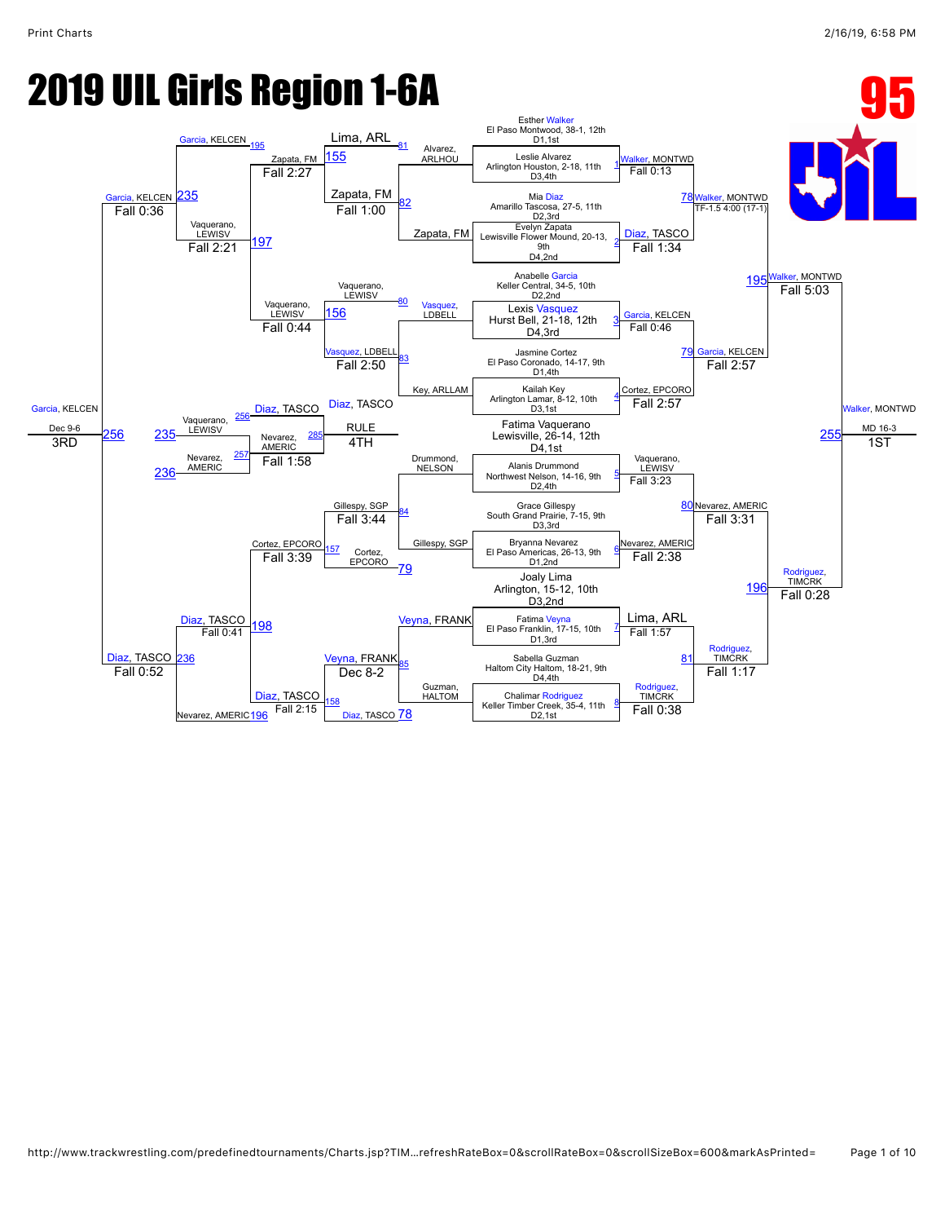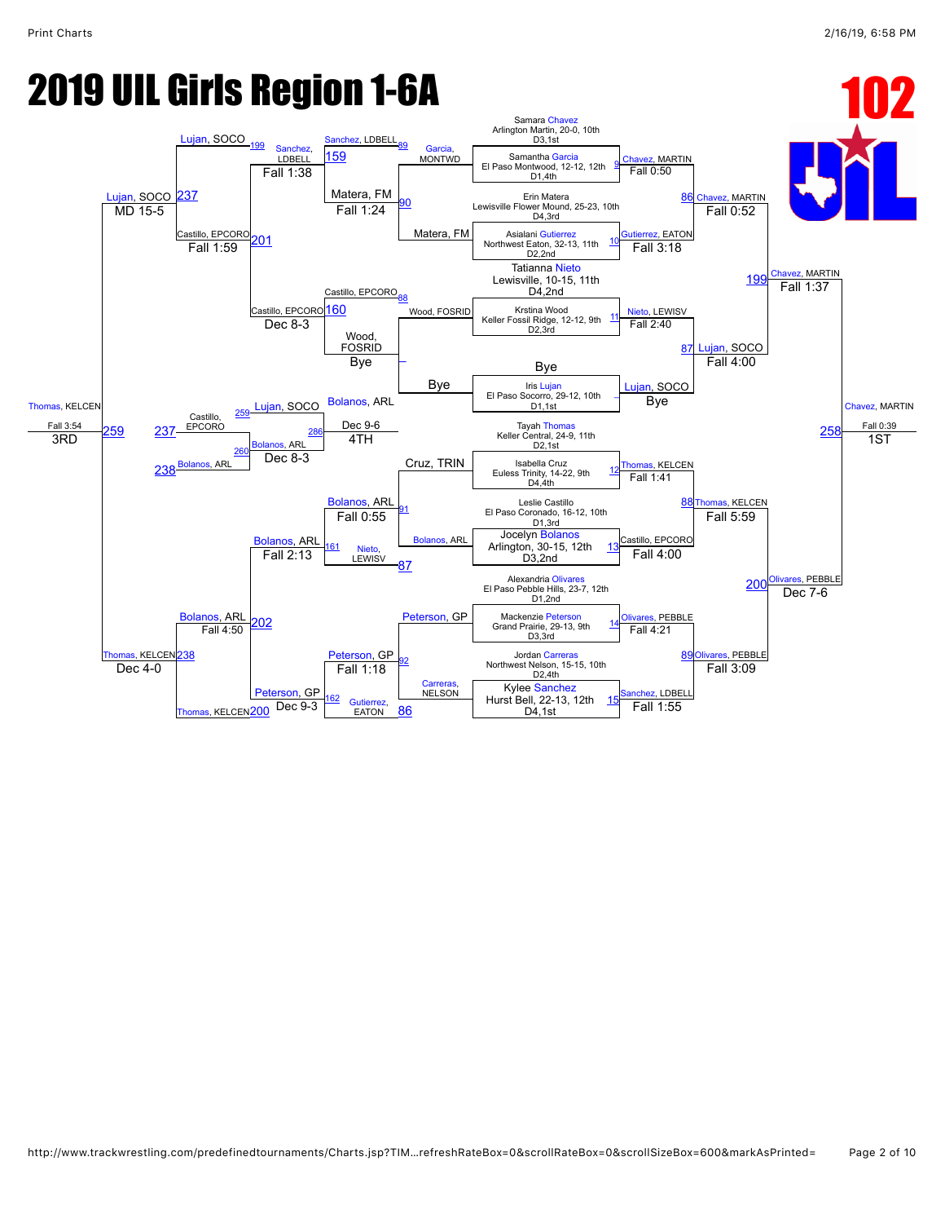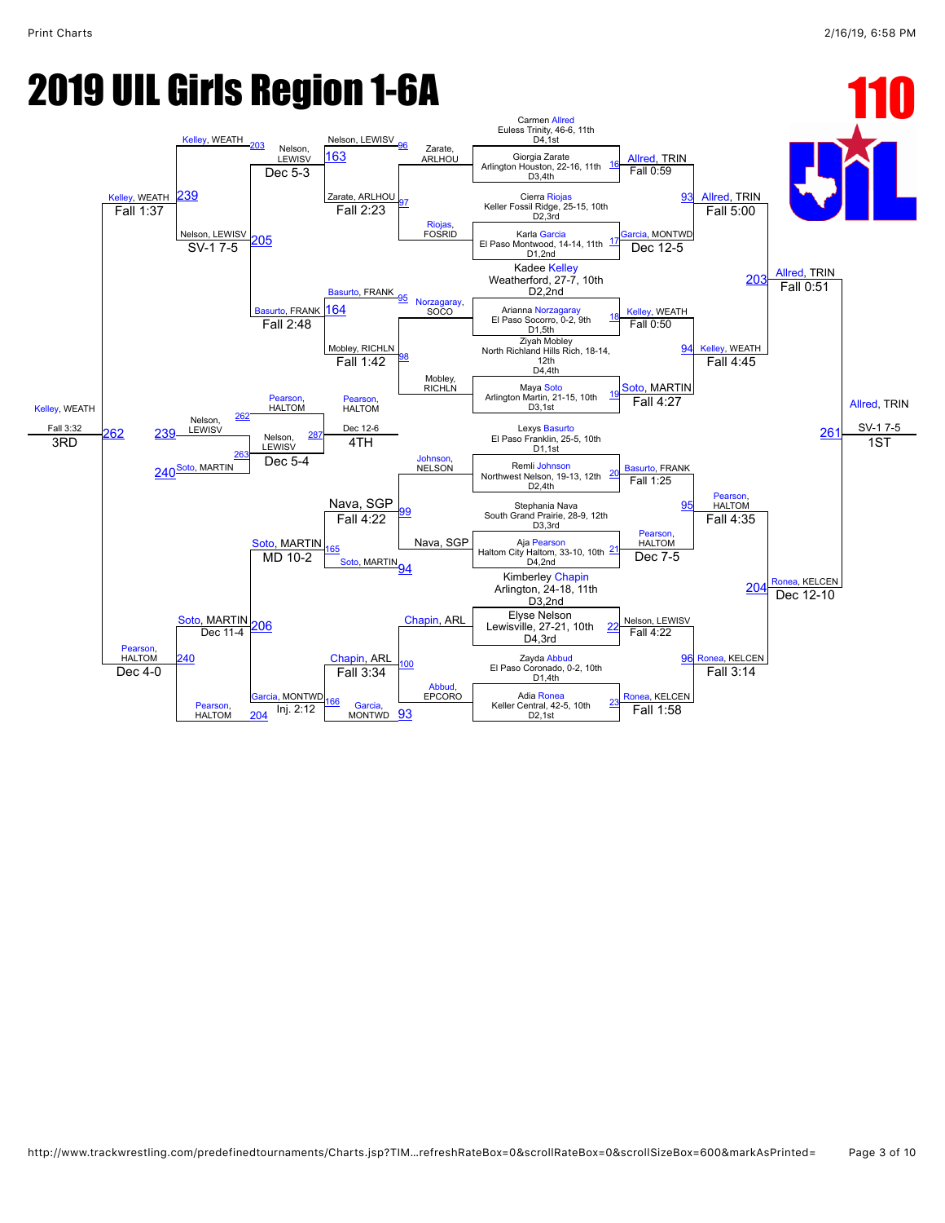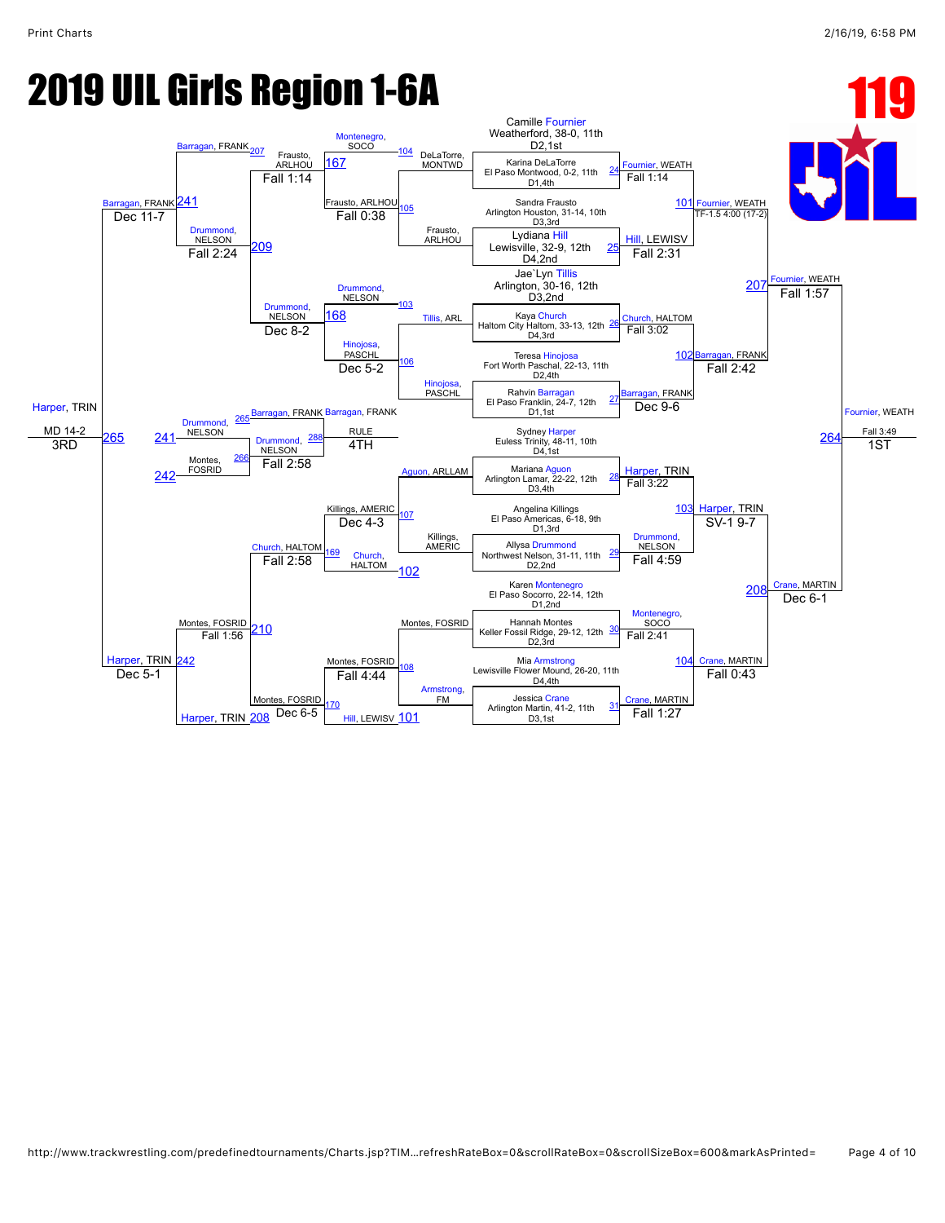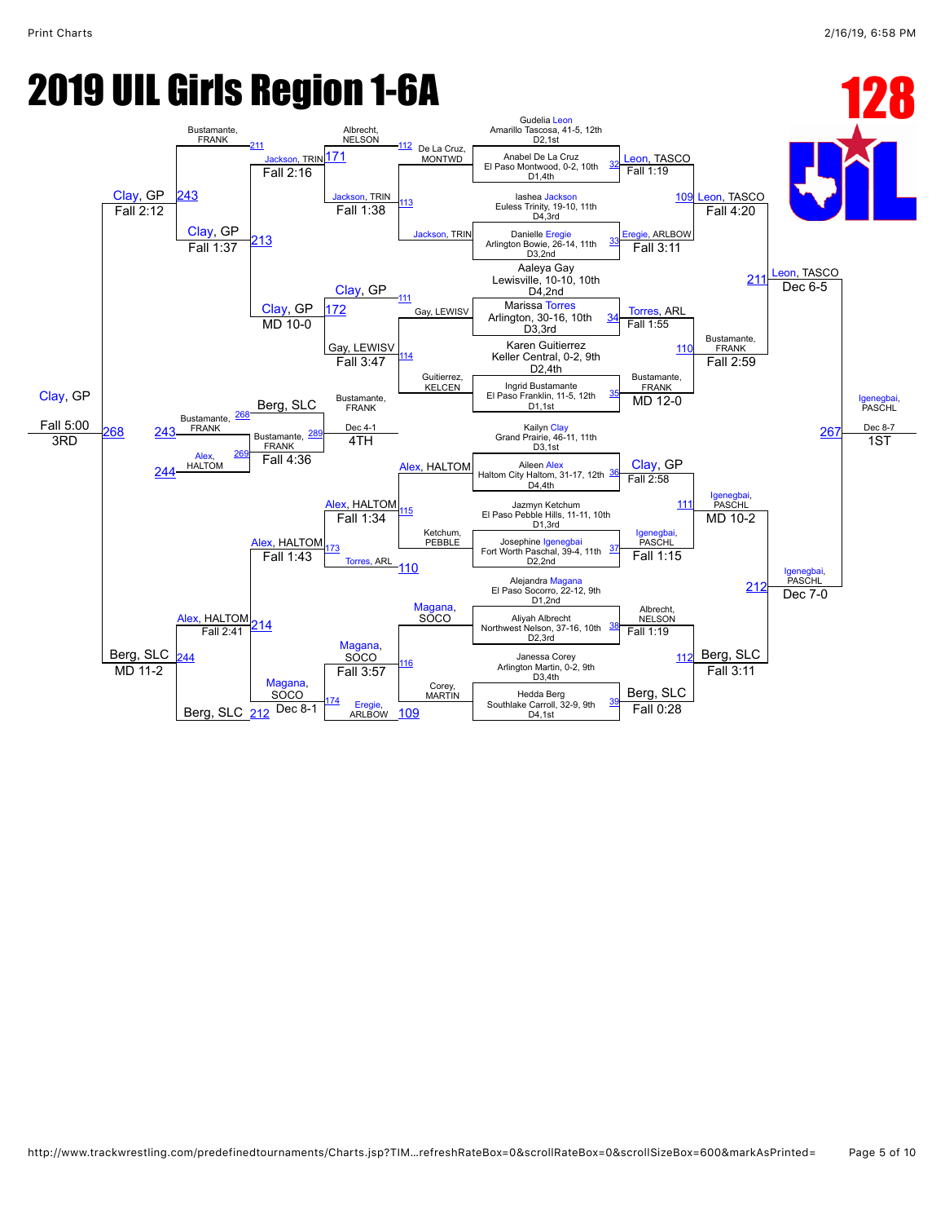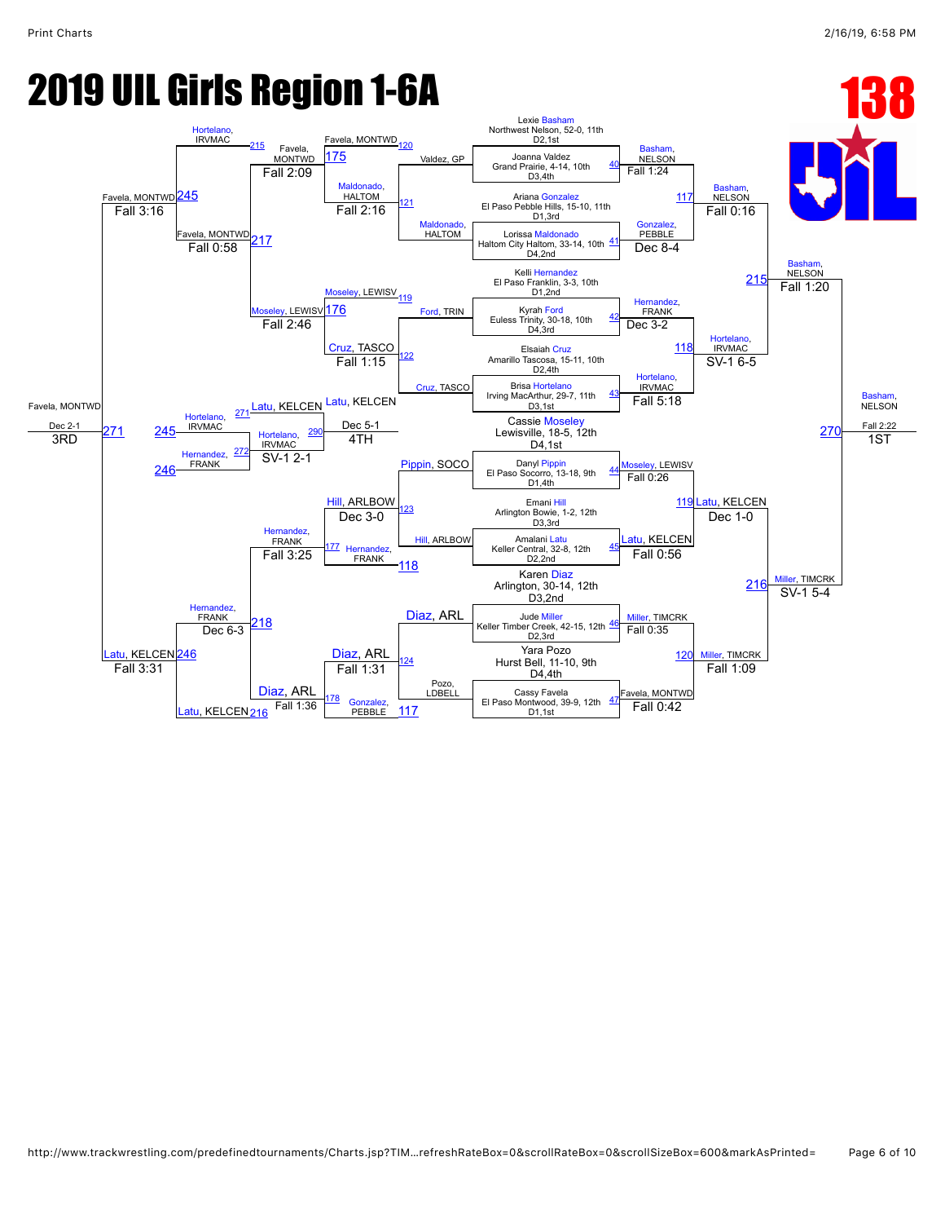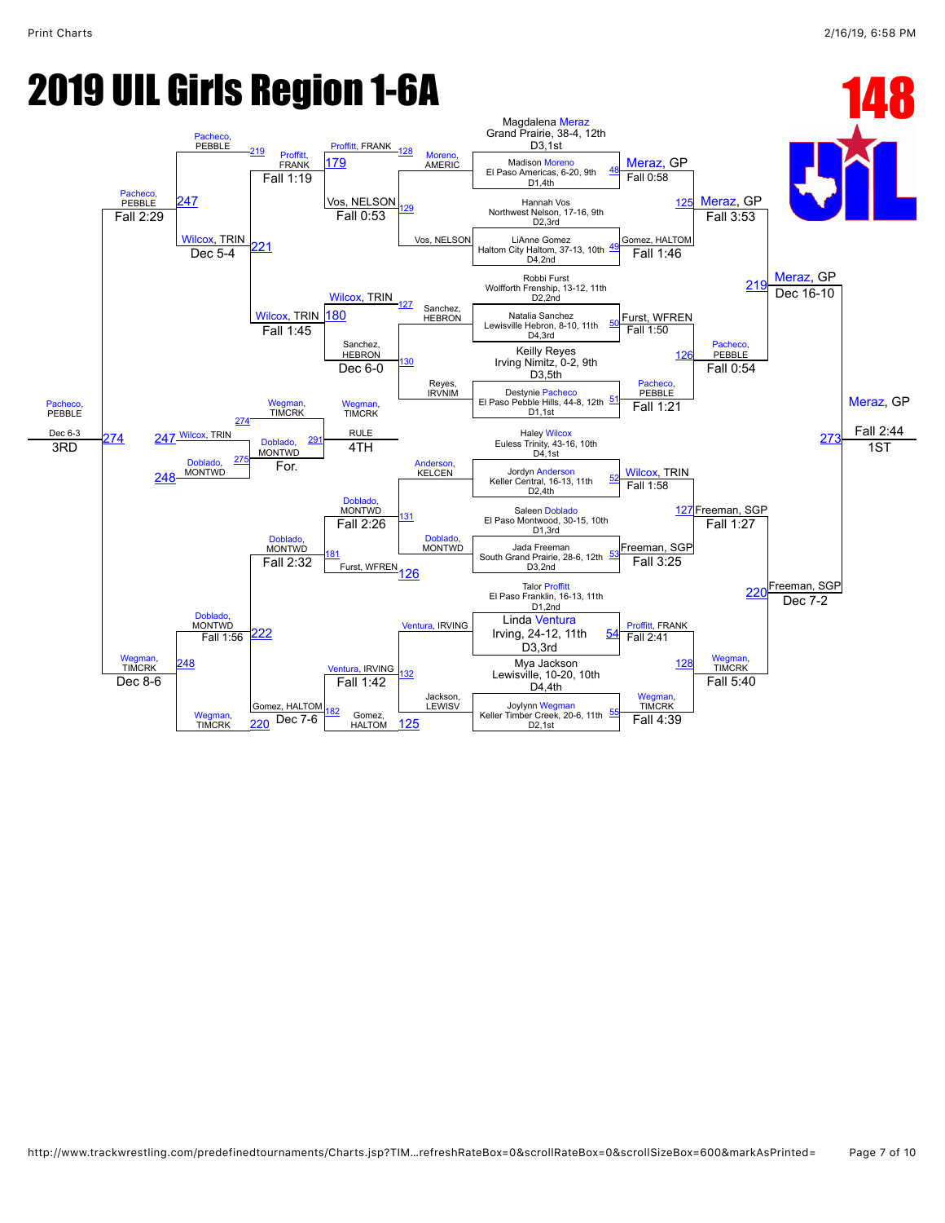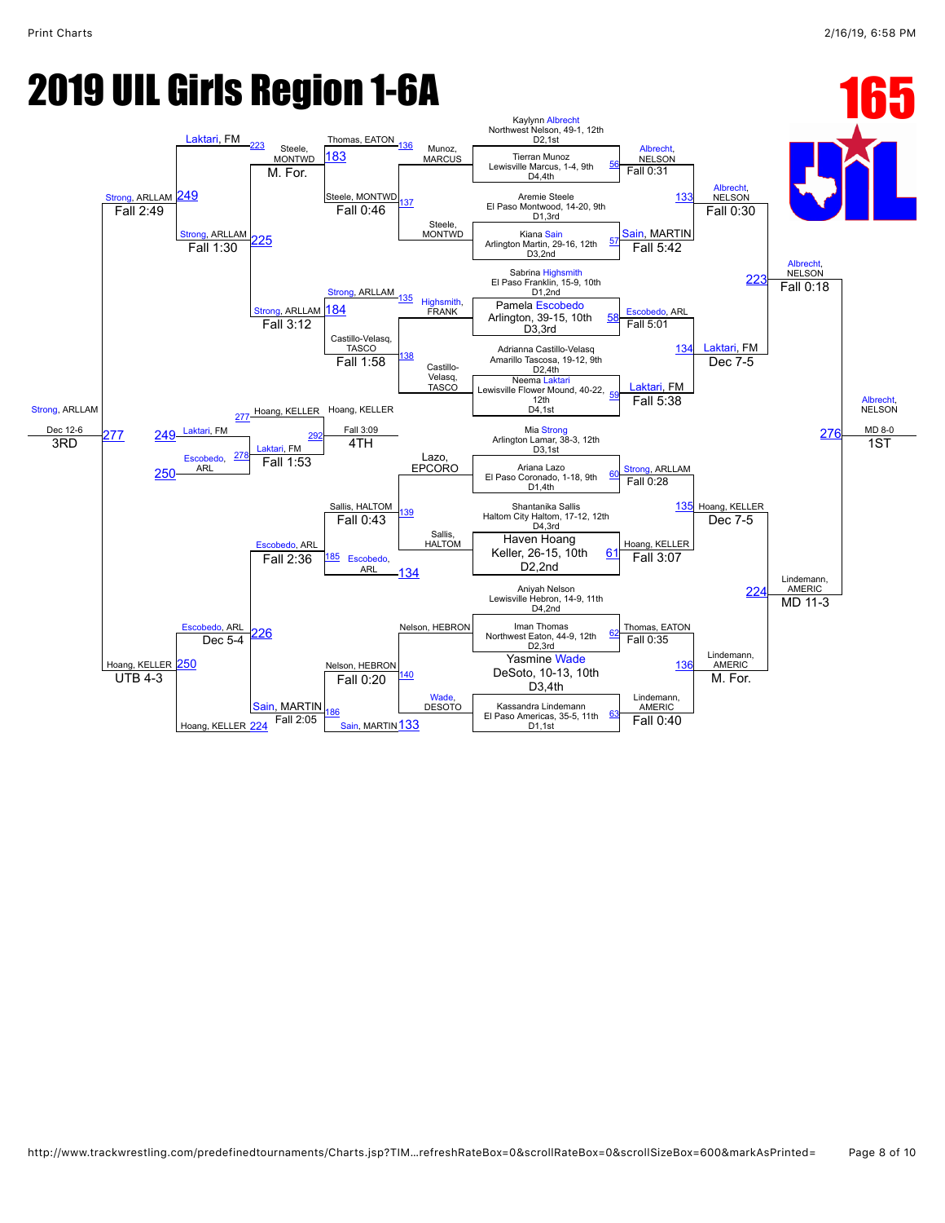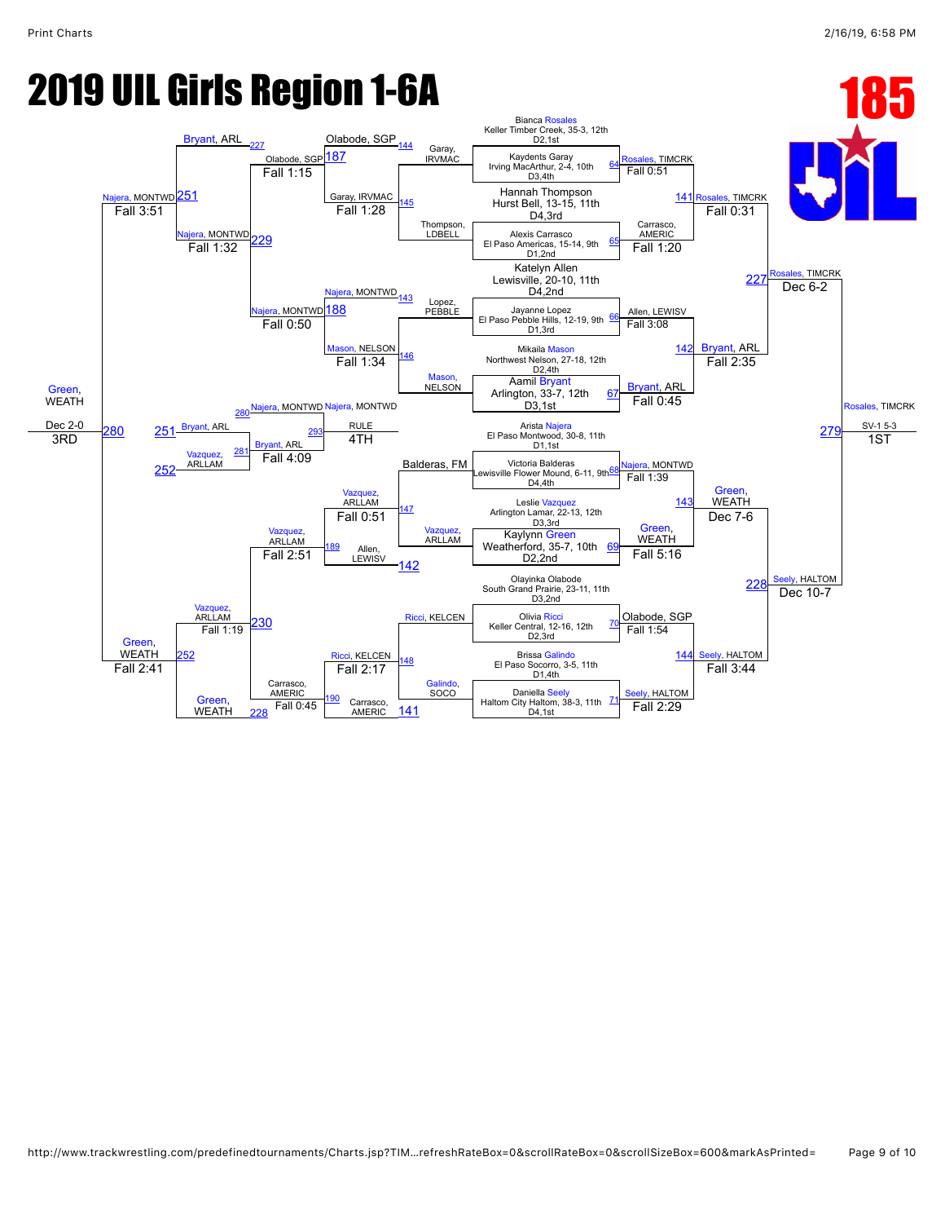